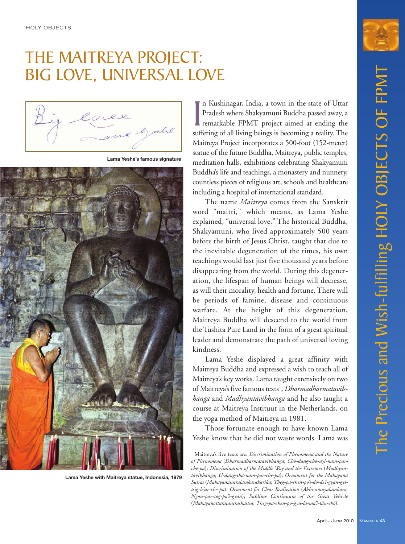# THE MAITREYA PROJECT: BIG LOVE, UNIVERSAL LOVE

Cove

**Lama Yeshe's famous signature**



**Lama Yeshe with Maitreya statue, Indonesia, 1979**

In Kushinagar, India, a town in the state of Uttar<br>Pradesh where Shakyamuni Buddha passed away, a<br>remarkable FPMT project aimed at ending the<br>suffering of all living beings is becoming a reality. The n Kushinagar, India, a town in the state of Uttar Pradesh where Shakyamuni Buddha passed away, a remarkable FPMT project aimed at ending the Maitreya Project incorporates a 500-foot (152-meter) statue of the future Buddha, Maitreya, public temples, meditation halls, exhibitions celebrating Shakyamuni Buddha's life and teachings, a monastery and nunnery, countless pieces of religious art, schools and healthcare including a hospital of international standard.

The name *Maitreya* comes from the Sanskrit word "maitri," which means, as Lama Yeshe explained, "universal love." The historical Buddha, Shakyamuni, who lived approximately 500 years before the birth of Jesus Christ, taught that due to the inevitable degeneration of the times, his own teachings would last just five thousand years before disappearing from the world. During this degeneration, the lifespan of human beings will decrease, as will their morality, health and fortune. There will be periods of famine, disease and continuous warfare. At the height of this degeneration, Maitreya Buddha will descend to the world from the Tushita Pure Land in the form of a great spiritual leader and demonstrate the path of universal loving kindness.

Lama Yeshe displayed a great affinity with Maitreya Buddha and expressed a wish to teach all of Maitreya's key works. Lama taught extensively on two of Maitreya's five famous texts<sup>1</sup>, *Dharmadharmatavibhanga* and *Madhyantavibhanga* and he also taught a course at Maitreya Instituut in the Netherlands, on the yoga method of Maitreya in 1981.

Those fortunate enough to have known Lama Yeshe know that he did not waste words. Lama was

<sup>1</sup> Maitreya's five texts are: *Discrimination of Phenomena and the Nature of Phenomena* (*Dharmadharmatavibhanga*; *Chö-dang-chö-nyi-nam-parche-pa*); *Discrimination of the Middle Way and the Extremes* (*Madhyantavibhanga*; *U-dang-tha-nam-par-che-pa*); *Ornament for the Mahayana Sutras* (*Mahayanasutralamkarakarika*; *Theg-pa-chen-po'i-do-de'i-gyän-gyitsig-le'ur-che-pa*); *Ornament for Clear Realization* (*Abhisamayalamkara*; *Ngon-par-tog-pa'i-gyän*); *Sublime Continuum of the Great Vehicle* (*Mahayanottaratantrashastra*; *Theg-pa-chen-po-gyü-la-ma'i-tän-chö*).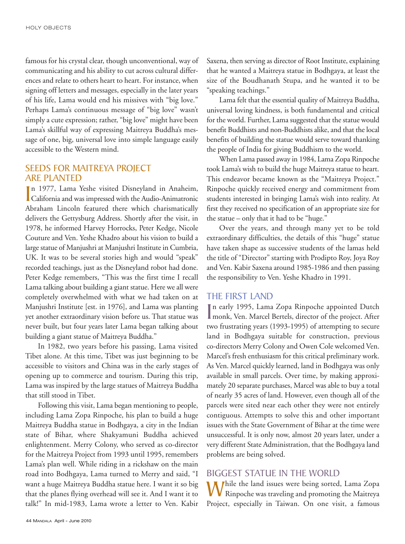famous for his crystal clear, though unconventional, way of communicating and his ability to cut across cultural differences and relate to others heart to heart. For instance, when signing off letters and messages, especially in the later years of his life, Lama would end his missives with "big love." Perhaps Lama's continuous message of "big love" wasn't simply a cute expression; rather, "big love" might have been Lama's skillful way of expressing Maitreya Buddha's message of one, big, universal love into simple language easily accessible to the Western mind.

## SEEDS FOR MAITREYA PROJECT ARE PLANTED

In 1977, Lama Yeshe visited Disneyland in Anaheim,<br>California and was impressed with the Audio-Animatronic n 1977, Lama Yeshe visited Disneyland in Anaheim, Abraham Lincoln featured there which charismatically delivers the Gettysburg Address. Shortly after the visit, in 1978, he informed Harvey Horrocks, Peter Kedge, Nicole Couture and Ven. Yeshe Khadro about his vision to build a large statue of Manjushri at Manjushri Institute in Cumbria, UK. It was to be several stories high and would "speak" recorded teachings, just as the Disneyland robot had done. Peter Kedge remembers, "This was the first time I recall Lama talking about building a giant statue. Here we all were completely overwhelmed with what we had taken on at Manjushri Institute [est. in 1976], and Lama was planting yet another extraordinary vision before us. That statue was never built, but four years later Lama began talking about building a giant statue of Maitreya Buddha."

In 1982, two years before his passing, Lama visited Tibet alone. At this time, Tibet was just beginning to be accessible to visitors and China was in the early stages of opening up to commerce and tourism. During this trip, Lama was inspired by the large statues of Maitreya Buddha that still stood in Tibet.

Following this visit, Lama began mentioning to people, including Lama Zopa Rinpoche, his plan to build a huge Maitreya Buddha statue in Bodhgaya, a city in the Indian state of Bihar, where Shakyamuni Buddha achieved enlightenment. Merry Colony, who served as co-director for the Maitreya Project from 1993 until 1995, remembers Lama's plan well. While riding in a rickshaw on the main road into Bodhgaya, Lama turned to Merry and said, "I want a huge Maitreya Buddha statue here. I want it so big that the planes flying overhead will see it. And I want it to talk!" In mid-1983, Lama wrote a letter to Ven. Kabir  Saxena, then serving as director of Root Institute, explaining that he wanted a Maitreya statue in Bodhgaya, at least the size of the Boudhanath Stupa, and he wanted it to be "speaking teachings."

Lama felt that the essential quality of Maitreya Buddha, universal loving kindness, is both fundamental and critical for the world. Further, Lama suggested that the statue would benefit Buddhists and non-Buddhists alike, and that the local benefits of building the statue would serve toward thanking the people of India for giving Buddhism to the world.

When Lama passed away in 1984, Lama Zopa Rinpoche took Lama's wish to build the huge Maitreya statue to heart. This endeavor became known as the "Maitreya Project." Rinpoche quickly received energy and commitment from students interested in bringing Lama's wish into reality. At first they received no specification of an appropriate size for the statue – only that it had to be "huge."

Over the years, and through many yet to be told extraordinary difficulties, the details of this "huge" statue have taken shape as successive students of the lamas held the title of "Director" starting with Prodipto Roy, Joya Roy and Ven. Kabir Saxena around 1985-1986 and then passing the responsibility to Ven. Yeshe Khadro in 1991.

#### THE FIRST LAND

In early 1995, Lama Zopa Rinpoche appointed Dutch<br>
monk, Ven. Marcel Bertels, director of the project. After n early 1995, Lama Zopa Rinpoche appointed Dutch two frustrating years (1993-1995) of attempting to secure land in Bodhgaya suitable for construction, previous co-directors Merry Colony and Owen Cole welcomed Ven. Marcel's fresh enthusiasm for this critical preliminary work. As Ven. Marcel quickly learned, land in Bodhgaya was only available in small parcels. Over time, by making approximately 20 separate purchases, Marcel was able to buy a total of nearly 35 acres of land. However, even though all of the parcels were sited near each other they were not entirely contiguous. Attempts to solve this and other important issues with the State Government of Bihar at the time were unsuccessful. It is only now, almost 20 years later, under a very different State Administration, that the Bodhgaya land problems are being solved.

#### BIGGEST STATUE IN THE WORLD

While the land issues were being sorted, Lama Zopa<br>Rinpoche was traveling and promoting the Maitreya Project, especially in Taiwan. On one visit, a famous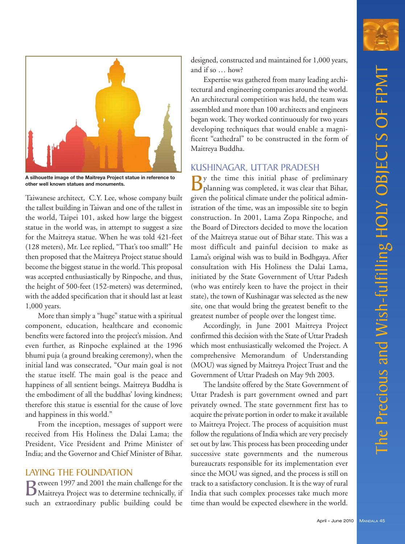

**A silhouette image of the Maitreya Project statue in reference to other well known statues and monuments.** 

 Taiwanese architect, C.Y. Lee, whose company built the tallest building in Taiwan and one of the tallest in the world, Taipei 101, asked how large the biggest statue in the world was, in attempt to suggest a size for the Maitreya statue. When he was told 421-feet (128 meters), Mr. Lee replied, "That's too small!" He then proposed that the Maitreya Project statue should become the biggest statue in the world. This proposal was accepted enthusiastically by Rinpoche, and thus, the height of 500-feet (152-meters) was determined, with the added specification that it should last at least 1,000 years.

More than simply a "huge" statue with a spiritual component, education, healthcare and economic benefits were factored into the project's mission. And even further, as Rinpoche explained at the 1996 bhumi puja (a ground breaking ceremony), when the initial land was consecrated, "Our main goal is not the statue itself. The main goal is the peace and happiness of all sentient beings. Maitreya Buddha is the embodiment of all the buddhas' loving kindness; therefore this statue is essential for the cause of love and happiness in this world."

From the inception, messages of support were received from His Holiness the Dalai Lama; the President, Vice President and Prime Minister of India; and the Governor and Chief Minister of Bihar.

#### LAYING THE FOUNDATION

Between 1997 and 2001 the main challenge for the Maitreya Project was to determine technically, if such an extraordinary public building could be  designed, constructed and maintained for 1,000 years, and if so … how?

Expertise was gathered from many leading architectural and engineering companies around the world. An architectural competition was held, the team was assembled and more than 100 architects and engineers began work. They worked continuously for two years developing techniques that would enable a magnificent "cathedral" to be constructed in the form of Maitreya Buddha.

## KUSHINAGAR, UTTAR PRADESH

 $\mathbf{D}$ y the time this initial phase of preliminary planning was completed, it was clear that Bihar, given the political climate under the political administration of the time, was an impossible site to begin construction. In 2001, Lama Zopa Rinpoche, and the Board of Directors decided to move the location of the Maitreya statue out of Bihar state. This was a most difficult and painful decision to make as Lama's original wish was to build in Bodhgaya. After consultation with His Holiness the Dalai Lama, initiated by the State Government of Uttar Padesh (who was entirely keen to have the project in their state), the town of Kushinagar was selected as the new site, one that would bring the greatest benefit to the greatest number of people over the longest time.

Accordingly, in June 2001 Maitreya Project confirmed this decision with the State of Uttar Pradesh which most enthusiastically welcomed the Project. A comprehensive Memorandum of Understanding (MOU) was signed by Maitreya Project Trust and the Government of Uttar Pradesh on May 9th 2003.

The landsite offered by the State Government of Uttar Pradesh is part government owned and part privately owned. The state government first has to acquire the private portion in order to make it available to Maitreya Project. The process of acquisition must follow the regulations of India which are very precisely set out by law. This process has been proceeding under successive state governments and the numerous bureaucrats responsible for its implementation ever since the MOU was signed, and the process is still on track to a satisfactory conclusion. It is the way of rural India that such complex processes take much more time than would be expected elsewhere in the world.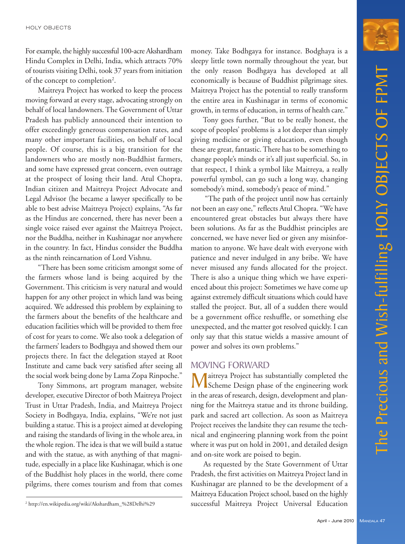For example, the highly successful 100-acre Akshardham Hindu Complex in Delhi, India, which attracts 70% of tourists visiting Delhi, took 37 years from initiation of the concept to completion<sup>2</sup>.

Maitreya Project has worked to keep the process moving forward at every stage, advocating strongly on behalf of local landowners. The Government of Uttar Pradesh has publicly announced their intention to offer exceedingly generous compensation rates, and many other important facilities, on behalf of local people. Of course, this is a big transition for the landowners who are mostly non-Buddhist farmers, and some have expressed great concern, even outrage at the prospect of losing their land. Atul Chopra, Indian citizen and Maitreya Project Advocate and Legal Advisor (he became a lawyer specifically to be able to best advise Maitreya Project) explains, "As far as the Hindus are concerned, there has never been a single voice raised ever against the Maitreya Project, nor the Buddha, neither in Kushinagar nor anywhere in the country. In fact, Hindus consider the Buddha as the ninth reincarnation of Lord Vishnu.

"There has been some criticism amongst some of the farmers whose land is being acquired by the Government. This criticism is very natural and would happen for any other project in which land was being acquired. We addressed this problem by explaining to the farmers about the benefits of the healthcare and education facilities which will be provided to them free of cost for years to come. We also took a delegation of the farmers' leaders to Bodhgaya and showed them our projects there. In fact the delegation stayed at Root Institute and came back very satisfied after seeing all the social work being done by Lama Zopa Rinpoche."

Tony Simmons, art program manager, website developer, executive Director of both Maitreya Project Trust in Uttar Pradesh, India, and Maitreya Project Society in Bodhgaya, India, explains, "We're not just building a statue. This is a project aimed at developing and raising the standards of living in the whole area, in the whole region. The idea is that we will build a statue and with the statue, as with anything of that magnitude, especially in a place like Kushinagar, which is one of the Buddhist holy places in the world, there come pilgrims, there comes tourism and from that comes

money. Take Bodhgaya for instance. Bodghaya is a sleepy little town normally throughout the year, but the only reason Bodhgaya has developed at all economically is because of Buddhist pilgrimage sites. Maitreya Project has the potential to really transform the entire area in Kushinagar in terms of economic growth, in terms of education, in terms of health care."

Tony goes further, "But to be really honest, the scope of peoples' problems is a lot deeper than simply giving medicine or giving education, even though these are great, fantastic. There has to be something to change people's minds or it's all just superficial. So, in that respect, I think a symbol like Maitreya, a really powerful symbol, can go such a long way, changing somebody's mind, somebody's peace of mind."

"The path of the project until now has certainly not been an easy one," reflects Atul Chopra. "We have encountered great obstacles but always there have been solutions. As far as the Buddhist principles are concerned, we have never lied or given any misinformation to anyone. We have dealt with everyone with patience and never indulged in any bribe. We have never misused any funds allocated for the project. There is also a unique thing which we have experienced about this project: Sometimes we have come up against extremely difficult situations which could have stalled the project. But, all of a sudden there would be a government office reshuffle, or something else unexpected, and the matter got resolved quickly. I can only say that this statue wields a massive amount of power and solves its own problems."

#### MOVING FORWARD

Maitreya Project has substantially completed the<br>Scheme Design phase of the engineering work in the areas of research, design, development and planning for the Maitreya statue and its throne building, park and sacred art collection. As soon as Maitreya Project receives the landsite they can resume the technical and engineering planning work from the point where it was put on hold in 2001, and detailed design and on-site work are poised to begin.

As requested by the State Government of Uttar Pradesh, the first activities on Maitreya Project land in Kushinagar are planned to be the development of a Maitreya Education Project school, based on the highly successful Maitreya Project Universal Education



<sup>2</sup> http://en.wikipedia.org/wiki/Akshardham\_%28Delhi%29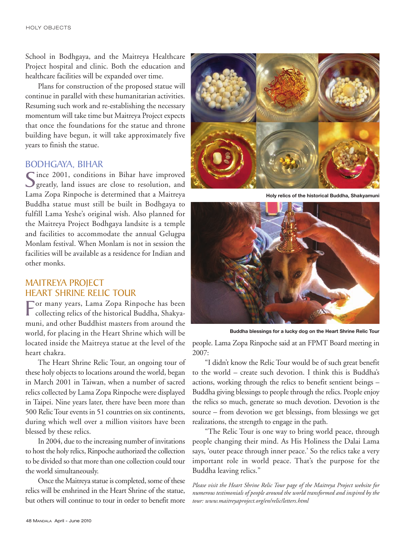School in Bodhgaya, and the Maitreya Healthcare Project hospital and clinic. Both the education and healthcare facilities will be expanded over time.

Plans for construction of the proposed statue will continue in parallel with these humanitarian activities. Resuming such work and re-establishing the necessary momentum will take time but Maitreya Project expects that once the foundations for the statue and throne building have begun, it will take approximately five years to finish the statue.

#### BODHGAYA, BIHAR

'ince 2001, conditions in Bihar have improved greatly, land issues are close to resolution, and Lama Zopa Rinpoche is determined that a Maitreya Buddha statue must still be built in Bodhgaya to fulfill Lama Yeshe's original wish. Also planned for the Maitreya Project Bodhgaya landsite is a temple and facilities to accommodate the annual Gelugpa Monlam festival. When Monlam is not in session the facilities will be available as a residence for Indian and other monks.

## MAITREYA PROJECT HEART SHRINE RELIC TOUR

For many years, Lama Zopa Rinpoche has been collecting relics of the historical Buddha, Shakyamuni, and other Buddhist masters from around the world, for placing in the Heart Shrine which will be located inside the Maitreya statue at the level of the heart chakra.

The Heart Shrine Relic Tour, an ongoing tour of these holy objects to locations around the world, began in March 2001 in Taiwan, when a number of sacred relics collected by Lama Zopa Rinpoche were displayed in Taipei. Nine years later, there have been more than 500 Relic Tour events in 51 countries on six continents, during which well over a million visitors have been blessed by these relics.

In 2004, due to the increasing number of invitations to host the holy relics, Rinpoche authorized the collection to be divided so that more than one collection could tour the world simultaneously.

Once the Maitreya statue is completed, some of these relics will be enshrined in the Heart Shrine of the statue, but others will continue to tour in order to benefit more



**Holy relics of the historical Buddha, Shakyamuni**



**Buddha blessings for a lucky dog on the Heart Shrine Relic Tour**

people. Lama Zopa Rinpoche said at an FPMT Board meeting in 2007:

"I didn't know the Relic Tour would be of such great benefit to the world – create such devotion. I think this is Buddha's actions, working through the relics to benefit sentient beings – Buddha giving blessings to people through the relics. People enjoy the relics so much, generate so much devotion. Devotion is the source – from devotion we get blessings, from blessings we get realizations, the strength to engage in the path.

"The Relic Tour is one way to bring world peace, through people changing their mind. As His Holiness the Dalai Lama says, 'outer peace through inner peace.' So the relics take a very important role in world peace. That's the purpose for the Buddha leaving relics."

*Please visit the Heart Shrine Relic Tour page of the Maitreya Project website for numerous testimonials of people around the world transformed and inspired by the tour: www.maitreyaproject.org/en/relic/letters.html*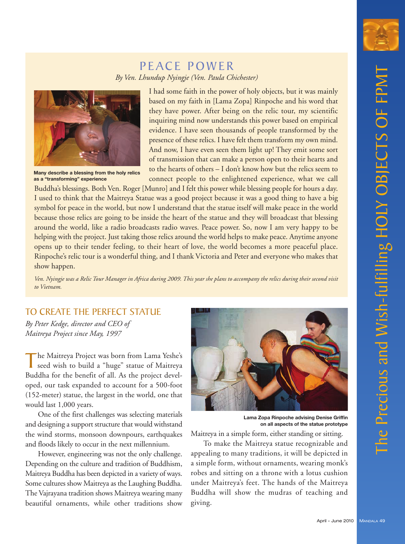

# PEACE POWER *By Ven. Lhundup Nyingje (Ven. Paula Chichester)*



**Many describe a blessing from the holy relics as a "transforming" experience**

I had some faith in the power of holy objects, but it was mainly based on my faith in [Lama Zopa] Rinpoche and his word that they have power. After being on the relic tour, my scientific inquiring mind now understands this power based on empirical evidence. I have seen thousands of people transformed by the presence of these relics. I have felt them transform my own mind. And now, I have even seen them light up! They emit some sort of transmission that can make a person open to their hearts and to the hearts of others – I don't know how but the relics seem to connect people to the enlightened experience, what we call

 Buddha's blessings. Both Ven. Roger [Munro] and I felt this power while blessing people for hours a day. I used to think that the Maitreya Statue was a good project because it was a good thing to have a big symbol for peace in the world, but now I understand that the statue itself will make peace in the world because those relics are going to be inside the heart of the statue and they will broadcast that blessing around the world, like a radio broadcasts radio waves. Peace power. So, now I am very happy to be helping with the project. Just taking those relics around the world helps to make peace. Anytime anyone opens up to their tender feeling, to their heart of love, the world becomes a more peaceful place. Rinpoche's relic tour is a wonderful thing, and I thank Victoria and Peter and everyone who makes that show happen.

*Ven. Nyingje was a Relic Tour Manager in Africa during 2009. This year she plans to accompany the relics during their second visit to Vietnam.*

# TO CREATE THE PERFECT STATUE

*By Peter Kedge, director and CEO of Maitreya Project since May, 1997*

The Maitreya Project was born from Lama Yeshe's<br>seed wish to build a "huge" statue of Maitreya Buddha for the benefit of all. As the project developed, our task expanded to account for a 500-foot (152-meter) statue, the largest in the world, one that would last 1,000 years.

One of the first challenges was selecting materials and designing a support structure that would withstand the wind storms, monsoon downpours, earthquakes and floods likely to occur in the next millennium.

However, engineering was not the only challenge. Depending on the culture and tradition of Buddhism, Maitreya Buddha has been depicted in a variety of ways. Some cultures show Maitreya as the Laughing Buddha. The Vajrayana tradition shows Maitreya wearing many beautiful ornaments, while other traditions show



**Lama Zopa Rinpoche advising Denise Griffin on all aspects of the statue prototype** 

Maitreya in a simple form, either standing or sitting.

To make the Maitreya statue recognizable and appealing to many traditions, it will be depicted in a simple form, without ornaments, wearing monk's robes and sitting on a throne with a lotus cushion under Maitreya's feet. The hands of the Maitreya Buddha will show the mudras of teaching and giving.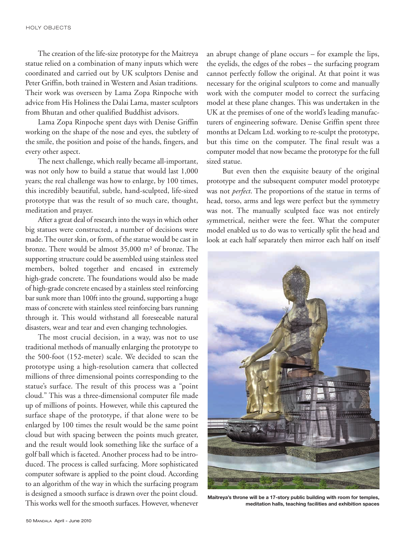The creation of the life-size prototype for the Maitreya statue relied on a combination of many inputs which were coordinated and carried out by UK sculptors Denise and Peter Griffin, both trained in Western and Asian traditions. Their work was overseen by Lama Zopa Rinpoche with advice from His Holiness the Dalai Lama, master sculptors from Bhutan and other qualified Buddhist advisors.

Lama Zopa Rinpoche spent days with Denise Griffin working on the shape of the nose and eyes, the subtlety of the smile, the position and poise of the hands, fingers, and every other aspect.

The next challenge, which really became all-important, was not only how to build a statue that would last 1,000 years; the real challenge was how to enlarge, by 100 times, this incredibly beautiful, subtle, hand-sculpted, life-sized prototype that was the result of so much care, thought, meditation and prayer.

After a great deal of research into the ways in which other big statues were constructed, a number of decisions were made. The outer skin, or form, of the statue would be cast in bronze. There would be almost 35,000 m² of bronze. The supporting structure could be assembled using stainless steel members, bolted together and encased in extremely high-grade concrete. The foundations would also be made of high-grade concrete encased by a stainless steel reinforcing bar sunk more than 100ft into the ground, supporting a huge mass of concrete with stainless steel reinforcing bars running through it. This would withstand all foreseeable natural disasters, wear and tear and even changing technologies.

The most crucial decision, in a way, was not to use traditional methods of manually enlarging the prototype to the 500-foot (152-meter) scale. We decided to scan the prototype using a high-resolution camera that collected millions of three dimensional points corresponding to the statue's surface. The result of this process was a "point cloud." This was a three-dimensional computer file made up of millions of points. However, while this captured the surface shape of the prototype, if that alone were to be enlarged by 100 times the result would be the same point cloud but with spacing between the points much greater, and the result would look something like the surface of a golf ball which is faceted. Another process had to be introduced. The process is called surfacing. More sophisticated computer software is applied to the point cloud. According to an algorithm of the way in which the surfacing program is designed a smooth surface is drawn over the point cloud. This works well for the smooth surfaces. However, whenever an abrupt change of plane occurs – for example the lips, the eyelids, the edges of the robes – the surfacing program cannot perfectly follow the original. At that point it was necessary for the original sculptors to come and manually work with the computer model to correct the surfacing model at these plane changes. This was undertaken in the UK at the premises of one of the world's leading manufacturers of engineering software. Denise Griffin spent three months at Delcam Ltd. working to re-sculpt the prototype, but this time on the computer. The final result was a computer model that now became the prototype for the full sized statue.

But even then the exquisite beauty of the original prototype and the subsequent computer model prototype was not *perfect*. The proportions of the statue in terms of head, torso, arms and legs were perfect but the symmetry was not. The manually sculpted face was not entirely symmetrical, neither were the feet. What the computer model enabled us to do was to vertically split the head and look at each half separately then mirror each half on itself



**Maitreya's throne will be a 17-story public building with room for temples, meditation halls, teaching facilities and exhibition spaces**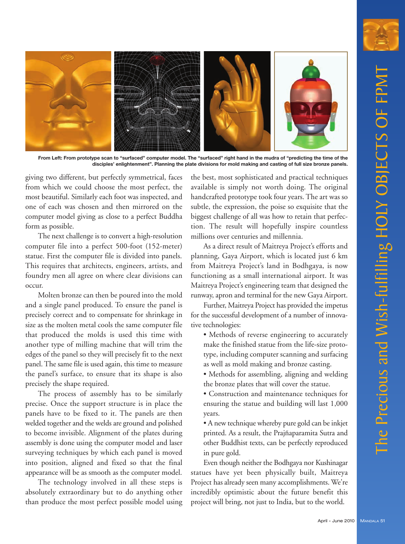

**From Left: From prototype scan to "surfaced" computer model. The "surfaced" right hand in the mudra of "predicting the time of the disciples' enlightenment". Planning the plate divisions for mold making and casting of full size bronze panels.**

giving two different, but perfectly symmetrical, faces from which we could choose the most perfect, the most beautiful. Similarly each foot was inspected, and one of each was chosen and then mirrored on the computer model giving as close to a perfect Buddha form as possible.

The next challenge is to convert a high-resolution computer file into a perfect 500-foot (152-meter) statue. First the computer file is divided into panels. This requires that architects, engineers, artists, and foundry men all agree on where clear divisions can occur.

Molten bronze can then be poured into the mold and a single panel produced. To ensure the panel is precisely correct and to compensate for shrinkage in size as the molten metal cools the same computer file that produced the molds is used this time with another type of milling machine that will trim the edges of the panel so they will precisely fit to the next panel. The same file is used again, this time to measure the panel's surface, to ensure that its shape is also precisely the shape required.

The process of assembly has to be similarly precise. Once the support structure is in place the panels have to be fixed to it. The panels are then welded together and the welds are ground and polished to become invisible. Alignment of the plates during assembly is done using the computer model and laser surveying techniques by which each panel is moved into position, aligned and fixed so that the final appearance will be as smooth as the computer model.

The technology involved in all these steps is absolutely extraordinary but to do anything other than produce the most perfect possible model using

the best, most sophisticated and practical techniques available is simply not worth doing. The original handcrafted prototype took four years. The art was so subtle, the expression, the poise so exquisite that the biggest challenge of all was how to retain that perfection. The result will hopefully inspire countless millions over centuries and millennia.

As a direct result of Maitreya Project's efforts and planning, Gaya Airport, which is located just 6 km from Maitreya Project's land in Bodhgaya, is now functioning as a small international airport. It was Maitreya Project's engineering team that designed the runway, apron and terminal for the new Gaya Airport.

Further, Maitreya Project has provided the impetus for the successful development of a number of innovative technologies:

- Methods of reverse engineering to accurately make the finished statue from the life-size prototype, including computer scanning and surfacing as well as mold making and bronze casting.
- Methods for assembling, aligning and welding the bronze plates that will cover the statue.
- Construction and maintenance techniques for ensuring the statue and building will last 1,000 years.
- A new technique whereby pure gold can be inkjet printed. As a result, the Prajñaparamita Sutra and other Buddhist texts, can be perfectly reproduced in pure gold.

Even though neither the Bodhgaya nor Kushinagar statues have yet been physically built, Maitreya Project has already seen many accomplishments. We're incredibly optimistic about the future benefit this project will bring, not just to India, but to the world.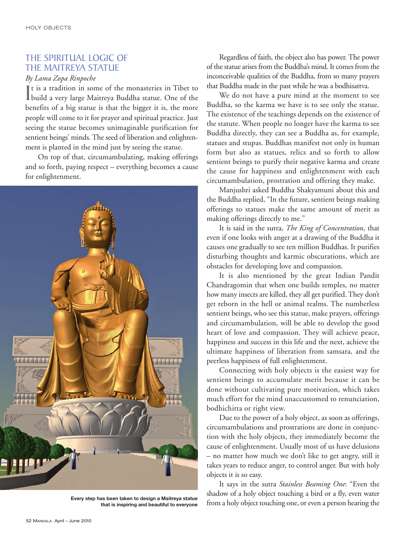## THE SPIRITUAL LOGIC OF THE MAITREYA STATUE

#### *By Lama Zopa Rinpoche*

It is a tradition in some of the monasteries in Tibet to<br>build a very large Maitreya Buddha statue. One of the t is a tradition in some of the monasteries in Tibet to benefits of a big statue is that the bigger it is, the more people will come to it for prayer and spiritual practice. Just seeing the statue becomes unimaginable purification for sentient beings' minds. The seed of liberation and enlightenment is planted in the mind just by seeing the statue.

On top of that, circumambulating, making offerings and so forth, paying respect – everything becomes a cause for enlightenment.



**that is inspiring and beautiful to everyone**

Regardless of faith, the object also has power. The power of the statue arises from the Buddha's mind. It comes from the inconceivable qualities of the Buddha, from so many prayers that Buddha made in the past while he was a bodhisattva.

We do not have a pure mind at the moment to see Buddha, so the karma we have is to see only the statue. The existence of the teachings depends on the existence of the statute. When people no longer have the karma to see Buddha directly, they can see a Buddha as, for example, statues and stupas. Buddhas manifest not only in human form but also as statues, relics and so forth to allow sentient beings to purify their negative karma and create the cause for happiness and enlightenment with each circumam bulation, prostration and offering they make.

Manjushri asked Buddha Shakyamuni about this and the Buddha replied, "In the future, sentient beings making offerings to statues make the same amount of merit as making offerings directly to me."

It is said in the sutra, *The King of Concentration*, that even if one looks with anger at a drawing of the Buddha it causes one gradually to see ten million Buddhas. It purifies disturbing thoughts and karmic obscurations, which are obstacles for developing love and compassion.

It is also mentioned by the great Indian Pandit Chandragomin that when one builds temples, no matter how many insects are killed, they all get purified. They don't get reborn in the hell or animal realms. The numberless sentient beings, who see this statue, make prayers, offerings and circumambulation, will be able to develop the good heart of love and compassion. They will achieve peace, happiness and success in this life and the next, achieve the ultimate happiness of liberation from samsara, and the peerless happiness of full enlightenment.

Connecting with holy objects is the easiest way for sentient beings to accumulate merit because it can be done without cultivating pure motivation, which takes much effort for the mind unaccustomed to renunciation, bodhichitta or right view.

Due to the power of a holy object, as soon as offerings, circumambulations and prostrations are done in conjunction with the holy objects, they immediately become the cause of enlightenment. Usually most of us have delusions – no matter how much we don't like to get angry, still it takes years to reduce anger, to control anger. But with holy objects it is so easy.

It says in the sutra *Stainless Beaming One*: "Even the shadow of a holy object touching a bird or a fly, even water Every step has been taken to design a Maitreya statue<br>that is inspiring and beautiful to everyone from a holy object touching one, or even a person hearing the